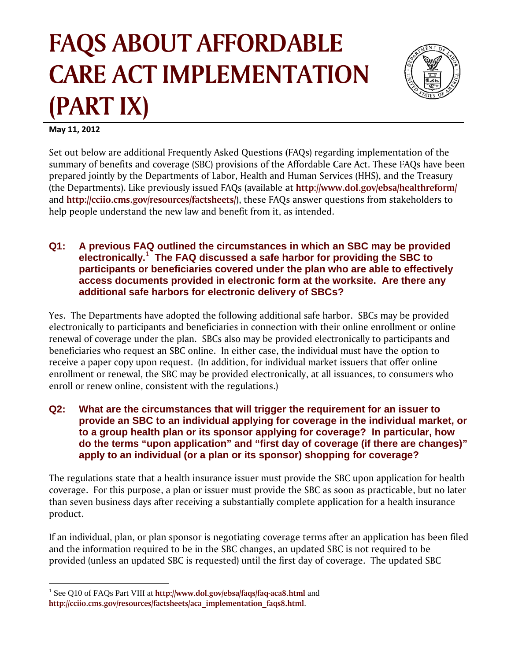# **FAQS ABOUT AFFORDABLE CARE ACT IMPLEMENTATION** (PART IX)



May 11, 2012

Set out below are additional Frequently Asked Questions (FAQs) regarding implementation of the summary of benefits and coverage (SBC) provisions of the Affordable Care Act. These FAQs have been prepared jointly by the Departments of Labor, Health and Human Services (HHS), and the Treasury (the Departments). Like previously issued FAQs (available at http://www.dol.gov/ebsa/healthreform/ and http://cciio.cms.gov/resources/factsheets/), these FAQs answer questions from stakeholders to help people understand the new law and benefit from it, as intended.

#### A previous FAQ outlined the circumstances in which an SBC may be provided  $Q1:$ electronically.<sup>1</sup> The FAQ discussed a safe harbor for providing the SBC to participants or beneficiaries covered under the plan who are able to effectively access documents provided in electronic form at the worksite. Are there any additional safe harbors for electronic delivery of SBCs?

Yes. The Departments have adopted the following additional safe harbor. SBCs may be provided electronically to participants and beneficiaries in connection with their online enrollment or online renewal of coverage under the plan. SBCs also may be provided electronically to participants and beneficiaries who request an SBC online. In either case, the individual must have the option to receive a paper copy upon request. (In addition, for individual market issuers that offer online enrollment or renewal, the SBC may be provided electronically, at all issuances, to consumers who enroll or renew online, consistent with the regulations.)

What are the circumstances that will trigger the requirement for an issuer to Q2: provide an SBC to an individual applying for coverage in the individual market, or to a group health plan or its sponsor applying for coverage? In particular, how do the terms "upon application" and "first day of coverage (if there are changes)" apply to an individual (or a plan or its sponsor) shopping for coverage?

The regulations state that a health insurance issuer must provide the SBC upon application for health coverage. For this purpose, a plan or issuer must provide the SBC as soon as practicable, but no later than seven business days after receiving a substantially complete application for a health insurance product.

If an individual, plan, or plan sponsor is negotiating coverage terms after an application has been filed and the information required to be in the SBC changes, an updated SBC is not required to be provided (unless an updated SBC is requested) until the first day of coverage. The updated SBC

 $^{1}$  See O10 of FAOs Part VIII at http://www.dol.gov/ebsa/faqs/faq-aca8.html and

http://cciio.cms.gov/resources/factsheets/aca implementation faqs8.html.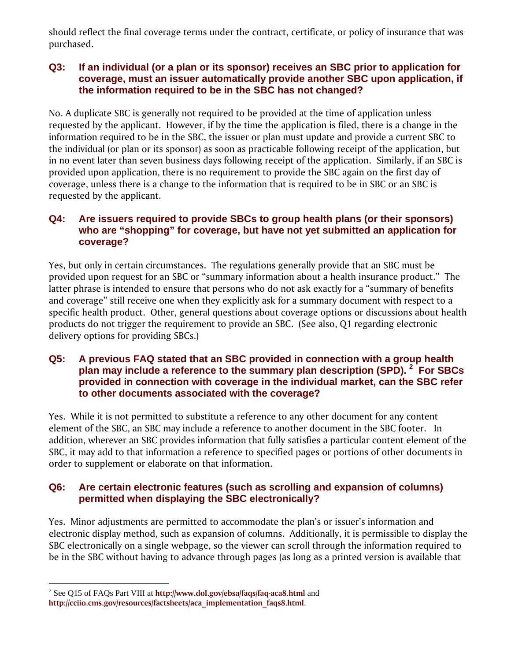should reflect the final coverage terms under the contract, certificate, or policy of insurance that was purchased.

## **Q3: If an individual (or a plan or its sponsor) receives an SBC prior to application for coverage, must an issuer automatically provide another SBC upon application, if the information required to be in the SBC has not changed?**

No. A duplicate SBC is generally not required to be provided at the time of application unless requested by the applicant. However, if by the time the application is filed, there is a change in the information required to be in the SBC, the issuer or plan must update and provide a current SBC to the individual (or plan or its sponsor) as soon as practicable following receipt of the application, but in no event later than seven business days following receipt of the application. Similarly, if an SBC is provided upon application, there is no requirement to provide the SBC again on the first day of coverage, unless there is a change to the information that is required to be in SBC or an SBC is requested by the applicant.

# **Q4: Are issuers required to provide SBCs to group health plans (or their sponsors) who are "shopping" for coverage, but have not yet submitted an application for coverage?**

Yes, but only in certain circumstances. The regulations generally provide that an SBC must be provided upon request for an SBC or "summary information about a health insurance product." The latter phrase is intended to ensure that persons who do not ask exactly for a "summary of benefits and coverage" still receive one when they explicitly ask for a summary document with respect to a specific health product. Other, general questions about coverage options or discussions about health products do not trigger the requirement to provide an SBC. (See also, Q1 regarding electronic delivery options for providing SBCs.)

# **Q5: A previous FAQ stated that an SBC provided in connection with a group health plan may include a reference to the summary plan description (SPD). <sup>2</sup> For SBCs provided in connection with coverage in the individual market, can the SBC refer to other documents associated with the coverage?**

Yes. While it is not permitted to substitute a reference to any other document for any content element of the SBC, an SBC may include a reference to another document in the SBC footer. In addition, wherever an SBC provides information that fully satisfies a particular content element of the SBC, it may add to that information a reference to specified pages or portions of other documents in order to supplement or elaborate on that information.

# **Q6: Are certain electronic features (such as scrolling and expansion of columns) permitted when displaying the SBC electronically?**

Yes. Minor adjustments are permitted to accommodate the plan's or issuer's information and electronic display method, such as expansion of columns. Additionally, it is permissible to display the SBC electronically on a single webpage, so the viewer can scroll through the information required to be in the SBC without having to advance through pages (as long as a printed version is available that

 2 See Q15 of FAQs Part VIII at **http://www.dol.gov/ebsa/faqs/faq-aca8.html** and

**http://cciio.cms.gov/resources/factsheets/aca\_implementation\_faqs8.html**.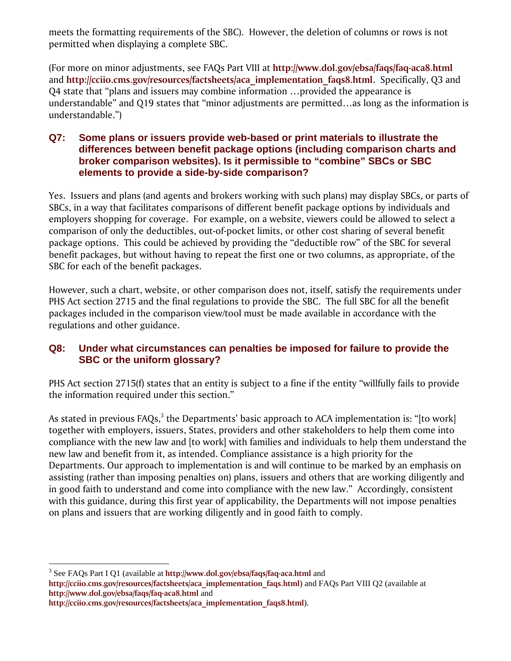meets the formatting requirements of the SBC). However, the deletion of columns or rows is not permitted when displaying a complete SBC.

(For more on minor adjustments, see FAQs Part VIII at **http://www.dol.gov/ebsa/faqs/faq-aca8.html** and **http://cciio.cms.gov/resources/factsheets/aca\_implementation\_faqs8.html**. Specifically, Q3 and Q4 state that "plans and issuers may combine information …provided the appearance is understandable" and Q19 states that "minor adjustments are permitted…as long as the information is understandable.")

# **Q7: Some plans or issuers provide web-based or print materials to illustrate the differences between benefit package options (including comparison charts and broker comparison websites). Is it permissible to "combine" SBCs or SBC elements to provide a side-by-side comparison?**

Yes. Issuers and plans (and agents and brokers working with such plans) may display SBCs, or parts of SBCs, in a way that facilitates comparisons of different benefit package options by individuals and employers shopping for coverage. For example, on a website, viewers could be allowed to select a comparison of only the deductibles, out-of-pocket limits, or other cost sharing of several benefit package options. This could be achieved by providing the "deductible row" of the SBC for several benefit packages, but without having to repeat the first one or two columns, as appropriate, of the SBC for each of the benefit packages.

However, such a chart, website, or other comparison does not, itself, satisfy the requirements under PHS Act section 2715 and the final regulations to provide the SBC. The full SBC for all the benefit packages included in the comparison view/tool must be made available in accordance with the regulations and other guidance.

# **Q8: Under what circumstances can penalties be imposed for failure to provide the SBC or the uniform glossary?**

PHS Act section 2715(f) states that an entity is subject to a fine if the entity "willfully fails to provide the information required under this section."

As stated in previous FAQs, $^3$  the Departments' basic approach to ACA implementation is: "[to work] together with employers, issuers, States, providers and other stakeholders to help them come into compliance with the new law and [to work] with families and individuals to help them understand the new law and benefit from it, as intended. Compliance assistance is a high priority for the Departments. Our approach to implementation is and will continue to be marked by an emphasis on assisting (rather than imposing penalties on) plans, issuers and others that are working diligently and in good faith to understand and come into compliance with the new law." Accordingly, consistent with this guidance, during this first year of applicability, the Departments will not impose penalties on plans and issuers that are working diligently and in good faith to comply.

3 See FAQs Part I Q1 (available at **http://www.dol.gov/ebsa/faqs/faq-aca.html** and **http://cciio.cms.gov/resources/factsheets/aca\_implementation\_faqs.html**) and FAQs Part VIII Q2 (available at

**http://www.dol.gov/ebsa/faqs/faq-aca8.html** and

 $\overline{a}$ 

**http://cciio.cms.gov/resources/factsheets/aca\_implementation\_faqs8.html**).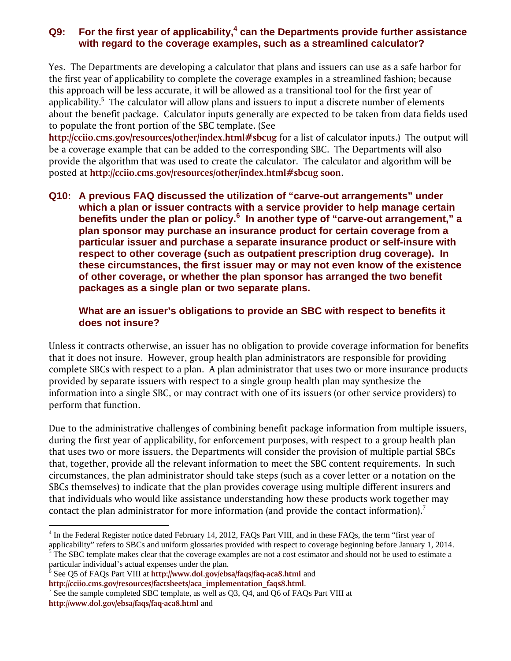# Q9: For the first year of applicability,<sup>4</sup> can the Departments provide further assistance **with regard to the coverage examples, such as a streamlined calculator?**

Yes. The Departments are developing a calculator that plans and issuers can use as a safe harbor for the first year of applicability to complete the coverage examples in a streamlined fashion; because this approach will be less accurate, it will be allowed as a transitional tool for the first year of applicability.<sup>5</sup> The calculator will allow plans and issuers to input a discrete number of elements about the benefit package. Calculator inputs generally are expected to be taken from data fields used to populate the front portion of the SBC template. (See

**http://cciio.cms.gov/resources/other/index.html#sbcug** for a list of calculator inputs.) The output will be a coverage example that can be added to the corresponding SBC. The Departments will also provide the algorithm that was used to create the calculator. The calculator and algorithm will be posted at **http://cciio.cms.gov/resources/other/index.html#sbcug soon**.

**Q10: A previous FAQ discussed the utilization of "carve-out arrangements" under which a plan or issuer contracts with a service provider to help manage certain benefits under the plan or policy.6 In another type of "carve-out arrangement," a plan sponsor may purchase an insurance product for certain coverage from a particular issuer and purchase a separate insurance product or self-insure with respect to other coverage (such as outpatient prescription drug coverage). In these circumstances, the first issuer may or may not even know of the existence of other coverage, or whether the plan sponsor has arranged the two benefit packages as a single plan or two separate plans.** 

# **What are an issuer's obligations to provide an SBC with respect to benefits it does not insure?**

Unless it contracts otherwise, an issuer has no obligation to provide coverage information for benefits that it does not insure. However, group health plan administrators are responsible for providing complete SBCs with respect to a plan. A plan administrator that uses two or more insurance products provided by separate issuers with respect to a single group health plan may synthesize the information into a single SBC, or may contract with one of its issuers (or other service providers) to perform that function.

Due to the administrative challenges of combining benefit package information from multiple issuers, during the first year of applicability, for enforcement purposes, with respect to a group health plan that uses two or more issuers, the Departments will consider the provision of multiple partial SBCs that, together, provide all the relevant information to meet the SBC content requirements. In such circumstances, the plan administrator should take steps (such as a cover letter or a notation on the SBCs themselves) to indicate that the plan provides coverage using multiple different insurers and that individuals who would like assistance understanding how these products work together may contact the plan administrator for more information (and provide the contact information).<sup>7</sup>

1

<sup>&</sup>lt;sup>4</sup> In the Federal Register notice dated February 14, 2012, FAQs Part VIII, and in these FAQs, the term "first year of applicability" refers to SBCs and uniform glossaries provided with respect to coverage beginning before January 1, 2014.

The SBC template makes clear that the coverage examples are not a cost estimator and should not be used to estimate a particular individual's actual expenses under the plan.

<sup>6</sup> See Q5 of FAQs Part VIII at **http://www.dol.gov/ebsa/faqs/faq-aca8.html** and **http://cciio.cms.gov/resources/factsheets/aca\_implementation\_faqs8.html**. 7

See the sample completed SBC template, as well as Q3, Q4, and Q6 of FAQs Part VIII at **http://www.dol.gov/ebsa/faqs/faq-aca8.html** and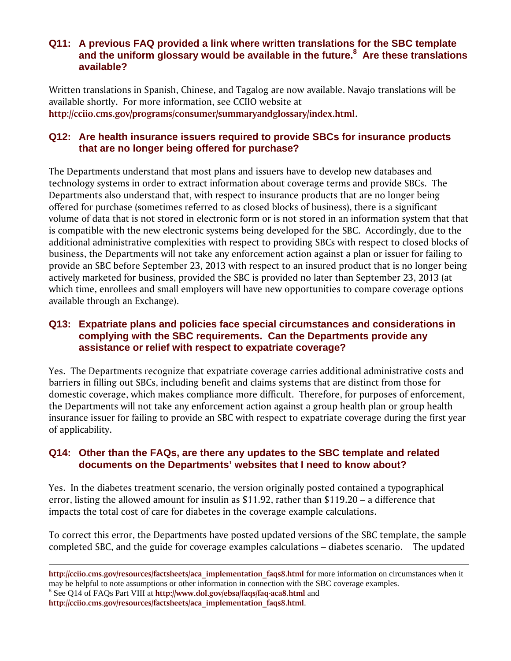# **Q11: A previous FAQ provided a link where written translations for the SBC template and the uniform glossary would be available in the future.<sup>8</sup> Are these translations available?**

Written translations in Spanish, Chinese, and Tagalog are now available. Navajo translations will be available shortly. For more information, see CCIIO website at **http://cciio.cms.gov/programs/consumer/summaryandglossary/index.html**.

# **Q12: Are health insurance issuers required to provide SBCs for insurance products that are no longer being offered for purchase?**

The Departments understand that most plans and issuers have to develop new databases and technology systems in order to extract information about coverage terms and provide SBCs. The Departments also understand that, with respect to insurance products that are no longer being offered for purchase (sometimes referred to as closed blocks of business), there is a significant volume of data that is not stored in electronic form or is not stored in an information system that that is compatible with the new electronic systems being developed for the SBC. Accordingly, due to the additional administrative complexities with respect to providing SBCs with respect to closed blocks of business, the Departments will not take any enforcement action against a plan or issuer for failing to provide an SBC before September 23, 2013 with respect to an insured product that is no longer being actively marketed for business, provided the SBC is provided no later than September 23, 2013 (at which time, enrollees and small employers will have new opportunities to compare coverage options available through an Exchange).

# **Q13: Expatriate plans and policies face special circumstances and considerations in complying with the SBC requirements. Can the Departments provide any assistance or relief with respect to expatriate coverage?**

Yes. The Departments recognize that expatriate coverage carries additional administrative costs and barriers in filling out SBCs, including benefit and claims systems that are distinct from those for domestic coverage, which makes compliance more difficult. Therefore, for purposes of enforcement, the Departments will not take any enforcement action against a group health plan or group health insurance issuer for failing to provide an SBC with respect to expatriate coverage during the first year of applicability.

# **Q14: Other than the FAQs, are there any updates to the SBC template and related documents on the Departments' websites that I need to know about?**

Yes. In the diabetes treatment scenario, the version originally posted contained a typographical error, listing the allowed amount for insulin as \$11.92, rather than \$119.20 – a difference that impacts the total cost of care for diabetes in the coverage example calculations.

To correct this error, the Departments have posted updated versions of the SBC template, the sample completed SBC, and the guide for coverage examples calculations – diabetes scenario. The updated

8 See Q14 of FAQs Part VIII at **http://www.dol.gov/ebsa/faqs/faq-aca8.html** and

**http://cciio.cms.gov/resources/factsheets/aca\_implementation\_faqs8.html**.

 $\overline{a}$ 

**http://cciio.cms.gov/resources/factsheets/aca\_implementation\_faqs8.html** for more information on circumstances when it may be helpful to note assumptions or other information in connection with the SBC coverage examples.